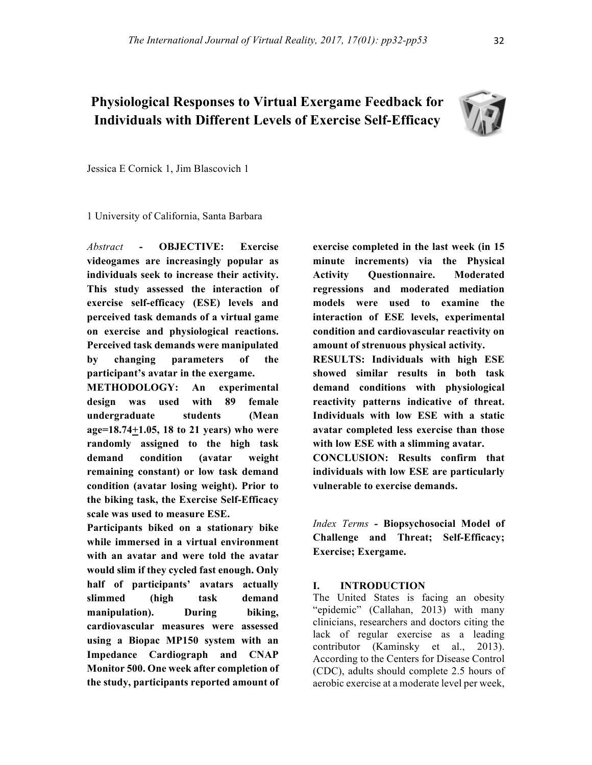# **Physiological Responses to Virtual Exergame Feedback for Individuals with Different Levels of Exercise Self-Efficacy**



Jessica E Cornick 1, Jim Blascovich 1

1 University of California, Santa Barbara

*Abstract* **- OBJECTIVE: Exercise videogames are increasingly popular as individuals seek to increase their activity. This study assessed the interaction of exercise self-efficacy (ESE) levels and perceived task demands of a virtual game on exercise and physiological reactions. Perceived task demands were manipulated by changing parameters of the participant's avatar in the exergame.**

**METHODOLOGY: An experimental design was used with 89 female undergraduate students (Mean age=18.74+1.05, 18 to 21 years) who were randomly assigned to the high task demand condition (avatar weight remaining constant) or low task demand condition (avatar losing weight). Prior to the biking task, the Exercise Self-Efficacy scale was used to measure ESE.** 

**Participants biked on a stationary bike while immersed in a virtual environment with an avatar and were told the avatar would slim if they cycled fast enough. Only half of participants' avatars actually slimmed (high task demand manipulation). During biking, cardiovascular measures were assessed using a Biopac MP150 system with an Impedance Cardiograph and CNAP Monitor 500. One week after completion of the study, participants reported amount of** 

**exercise completed in the last week (in 15 minute increments) via the Physical Activity Questionnaire. Moderated regressions and moderated mediation models were used to examine the interaction of ESE levels, experimental condition and cardiovascular reactivity on amount of strenuous physical activity.** 

**RESULTS: Individuals with high ESE showed similar results in both task demand conditions with physiological reactivity patterns indicative of threat. Individuals with low ESE with a static avatar completed less exercise than those with low ESE with a slimming avatar.**

**CONCLUSION: Results confirm that individuals with low ESE are particularly vulnerable to exercise demands.** 

*Index Terms -* **Biopsychosocial Model of Challenge and Threat; Self-Efficacy; Exercise; Exergame.**

### **I. INTRODUCTION**

The United States is facing an obesity "epidemic" (Callahan, 2013) with many clinicians, researchers and doctors citing the lack of regular exercise as a leading contributor (Kaminsky et al., 2013). According to the Centers for Disease Control (CDC), adults should complete 2.5 hours of aerobic exercise at a moderate level per week,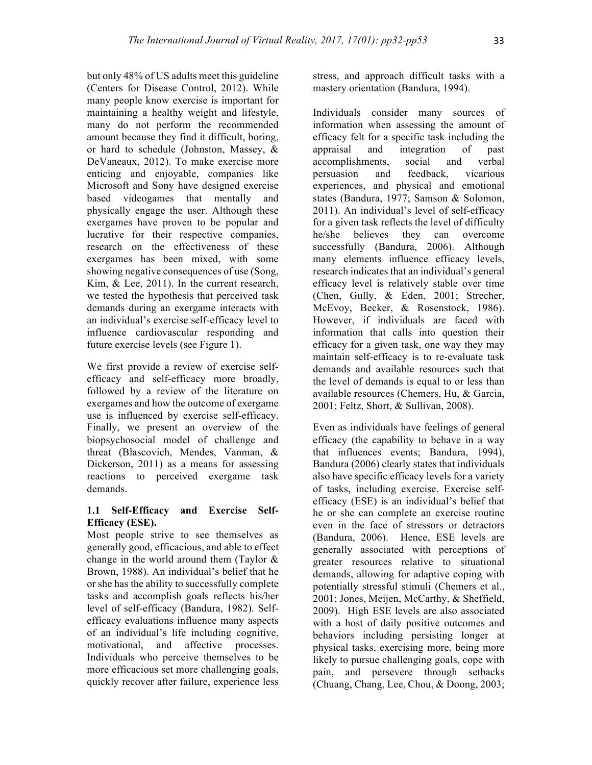but only 48% of US adults meet this guideline (Centers for Disease Control, 2012). While many people know exercise is important for maintaining a healthy weight and lifestyle, many do not perform the recommended amount because they find it difficult, boring, or hard to schedule (Johnston, Massey, & DeVaneaux, 2012). To make exercise more enticing and enjoyable, companies like Microsoft and Sony have designed exercise based videogames that mentally and physically engage the user. Although these exergames have proven to be popular and lucrative for their respective companies, research on the effectiveness of these exergames has been mixed, with some showing negative consequences of use (Song, Kim, & Lee, 2011). In the current research, we tested the hypothesis that perceived task demands during an exergame interacts with an individual's exercise self-efficacy level to influence cardiovascular responding and future exercise levels (see Figure 1).

We first provide a review of exercise selfefficacy and self-efficacy more broadly, followed by a review of the literature on exergames and how the outcome of exergame use is influenced by exercise self-efficacy. Finally, we present an overview of the biopsychosocial model of challenge and threat (Blascovich, Mendes, Vanman, & Dickerson, 2011) as a means for assessing reactions to perceived exergame task demands.

# **1.1 Self-Efficacy and Exercise Self-Efficacy (ESE).**

Most people strive to see themselves as generally good, efficacious, and able to effect change in the world around them (Taylor & Brown, 1988). An individual's belief that he or she has the ability to successfully complete tasks and accomplish goals reflects his/her level of self-efficacy (Bandura, 1982). Selfefficacy evaluations influence many aspects of an individual's life including cognitive, motivational, and affective processes. Individuals who perceive themselves to be more efficacious set more challenging goals, quickly recover after failure, experience less

stress, and approach difficult tasks with a mastery orientation (Bandura, 1994).

Individuals consider many sources of information when assessing the amount of efficacy felt for a specific task including the appraisal and integration of past accomplishments, social and verbal persuasion and feedback, vicarious experiences, and physical and emotional states (Bandura, 1977; Samson & Solomon, 2011). An individual's level of self-efficacy for a given task reflects the level of difficulty he/she believes they can overcome successfully (Bandura, 2006). Although many elements influence efficacy levels, research indicates that an individual's general efficacy level is relatively stable over time (Chen, Gully, & Eden, 2001; Strecher, McEvoy, Becker, & Rosenstock, 1986). However, if individuals are faced with information that calls into question their efficacy for a given task, one way they may maintain self-efficacy is to re-evaluate task demands and available resources such that the level of demands is equal to or less than available resources (Chemers, Hu, & Garcia, 2001; Feltz, Short, & Sullivan, 2008).

Even as individuals have feelings of general efficacy (the capability to behave in a way that influences events; Bandura, 1994), Bandura (2006) clearly states that individuals also have specific efficacy levels for a variety of tasks, including exercise. Exercise selfefficacy (ESE) is an individual's belief that he or she can complete an exercise routine even in the face of stressors or detractors (Bandura, 2006). Hence, ESE levels are generally associated with perceptions of greater resources relative to situational demands, allowing for adaptive coping with potentially stressful stimuli (Chemers et al., 2001; Jones, Meijen, McCarthy, & Sheffield, 2009). High ESE levels are also associated with a host of daily positive outcomes and behaviors including persisting longer at physical tasks, exercising more, being more likely to pursue challenging goals, cope with pain, and persevere through setbacks (Chuang, Chang, Lee, Chou, & Doong, 2003;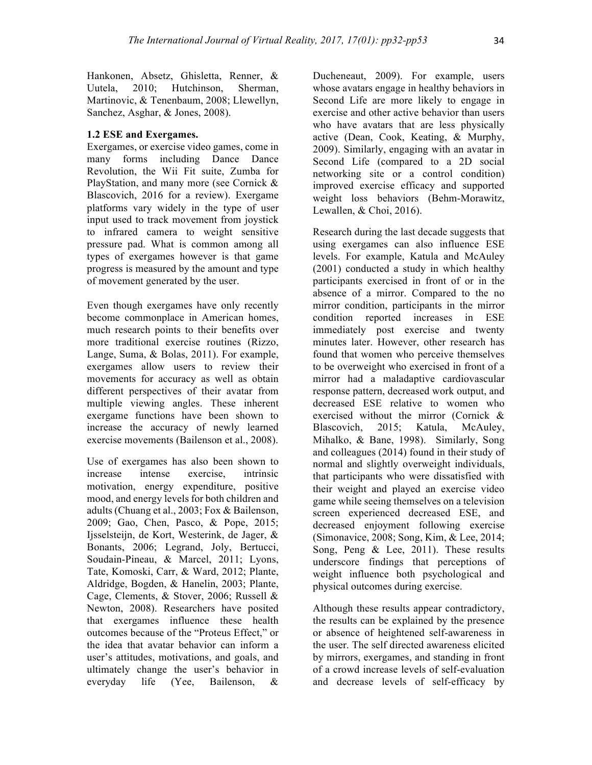Hankonen, Absetz, Ghisletta, Renner, & Uutela, 2010; Hutchinson, Sherman, Martinovic, & Tenenbaum, 2008; Llewellyn, Sanchez, Asghar, & Jones, 2008).

# **1.2 ESE and Exergames.**

Exergames, or exercise video games, come in many forms including Dance Dance Revolution, the Wii Fit suite, Zumba for PlayStation, and many more (see Cornick & Blascovich, 2016 for a review). Exergame platforms vary widely in the type of user input used to track movement from joystick to infrared camera to weight sensitive pressure pad. What is common among all types of exergames however is that game progress is measured by the amount and type of movement generated by the user.

Even though exergames have only recently become commonplace in American homes, much research points to their benefits over more traditional exercise routines (Rizzo, Lange, Suma, & Bolas, 2011). For example, exergames allow users to review their movements for accuracy as well as obtain different perspectives of their avatar from multiple viewing angles. These inherent exergame functions have been shown to increase the accuracy of newly learned exercise movements (Bailenson et al., 2008).

Use of exergames has also been shown to increase intense exercise, intrinsic motivation, energy expenditure, positive mood, and energy levels for both children and adults (Chuang et al., 2003; Fox & Bailenson, 2009; Gao, Chen, Pasco, & Pope, 2015; Ijsselsteijn, de Kort, Westerink, de Jager, & Bonants, 2006; Legrand, Joly, Bertucci, Soudain-Pineau, & Marcel, 2011; Lyons, Tate, Komoski, Carr, & Ward, 2012; Plante, Aldridge, Bogden, & Hanelin, 2003; Plante, Cage, Clements, & Stover, 2006; Russell & Newton, 2008). Researchers have posited that exergames influence these health outcomes because of the "Proteus Effect," or the idea that avatar behavior can inform a user's attitudes, motivations, and goals, and ultimately change the user's behavior in everyday life (Yee, Bailenson, &

Ducheneaut, 2009). For example, users whose avatars engage in healthy behaviors in Second Life are more likely to engage in exercise and other active behavior than users who have avatars that are less physically active (Dean, Cook, Keating, & Murphy, 2009). Similarly, engaging with an avatar in Second Life (compared to a 2D social networking site or a control condition) improved exercise efficacy and supported weight loss behaviors (Behm-Morawitz, Lewallen, & Choi, 2016).

Research during the last decade suggests that using exergames can also influence ESE levels. For example, Katula and McAuley (2001) conducted a study in which healthy participants exercised in front of or in the absence of a mirror. Compared to the no mirror condition, participants in the mirror condition reported increases in ESE immediately post exercise and twenty minutes later. However, other research has found that women who perceive themselves to be overweight who exercised in front of a mirror had a maladaptive cardiovascular response pattern, decreased work output, and decreased ESE relative to women who exercised without the mirror (Cornick & Blascovich, 2015; Katula, McAuley, Mihalko, & Bane, 1998). Similarly, Song and colleagues (2014) found in their study of normal and slightly overweight individuals, that participants who were dissatisfied with their weight and played an exercise video game while seeing themselves on a television screen experienced decreased ESE, and decreased enjoyment following exercise (Simonavice, 2008; Song, Kim, & Lee, 2014; Song, Peng & Lee, 2011). These results underscore findings that perceptions of weight influence both psychological and physical outcomes during exercise.

Although these results appear contradictory, the results can be explained by the presence or absence of heightened self-awareness in the user. The self directed awareness elicited by mirrors, exergames, and standing in front of a crowd increase levels of self-evaluation and decrease levels of self-efficacy by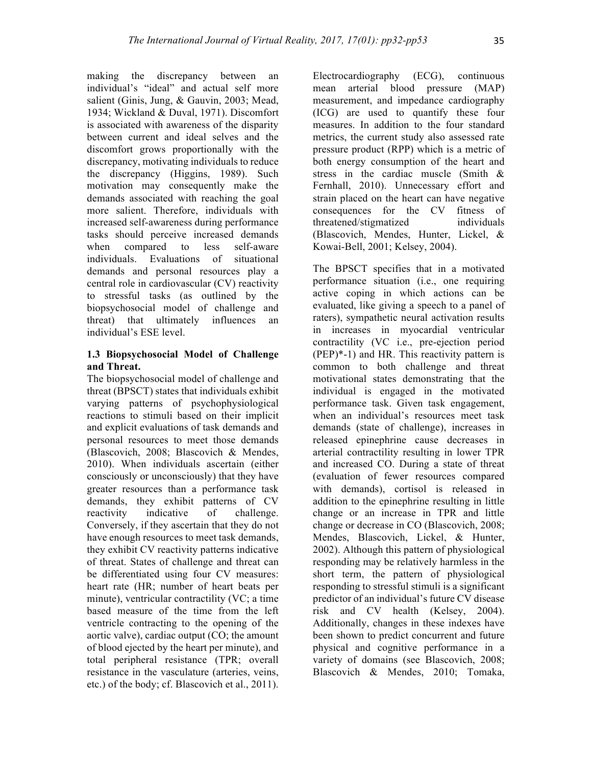making the discrepancy between an individual's "ideal" and actual self more salient (Ginis, Jung, & Gauvin, 2003; Mead, 1934; Wickland & Duval, 1971). Discomfort is associated with awareness of the disparity between current and ideal selves and the discomfort grows proportionally with the discrepancy, motivating individuals to reduce the discrepancy (Higgins, 1989). Such motivation may consequently make the demands associated with reaching the goal more salient. Therefore, individuals with increased self-awareness during performance tasks should perceive increased demands when compared to less self-aware individuals. Evaluations of situational demands and personal resources play a central role in cardiovascular (CV) reactivity to stressful tasks (as outlined by the biopsychosocial model of challenge and threat) that ultimately influences an individual's ESE level.

# **1.3 Biopsychosocial Model of Challenge and Threat.**

The biopsychosocial model of challenge and threat (BPSCT) states that individuals exhibit varying patterns of psychophysiological reactions to stimuli based on their implicit and explicit evaluations of task demands and personal resources to meet those demands (Blascovich, 2008; Blascovich & Mendes, 2010). When individuals ascertain (either consciously or unconsciously) that they have greater resources than a performance task demands, they exhibit patterns of CV reactivity indicative of challenge. Conversely, if they ascertain that they do not have enough resources to meet task demands, they exhibit CV reactivity patterns indicative of threat. States of challenge and threat can be differentiated using four CV measures: heart rate (HR; number of heart beats per minute), ventricular contractility (VC; a time based measure of the time from the left ventricle contracting to the opening of the aortic valve), cardiac output (CO; the amount of blood ejected by the heart per minute), and total peripheral resistance (TPR; overall resistance in the vasculature (arteries, veins, etc.) of the body; cf. Blascovich et al., 2011).

Electrocardiography (ECG), continuous mean arterial blood pressure (MAP) measurement, and impedance cardiography (ICG) are used to quantify these four measures. In addition to the four standard metrics, the current study also assessed rate pressure product (RPP) which is a metric of both energy consumption of the heart and stress in the cardiac muscle (Smith & Fernhall, 2010). Unnecessary effort and strain placed on the heart can have negative consequences for the CV fitness of threatened/stigmatized individuals (Blascovich, Mendes, Hunter, Lickel, & Kowai-Bell, 2001; Kelsey, 2004).

The BPSCT specifies that in a motivated performance situation (i.e., one requiring active coping in which actions can be evaluated, like giving a speech to a panel of raters), sympathetic neural activation results in increases in myocardial ventricular contractility (VC i.e., pre-ejection period (PEP)\*-1) and HR. This reactivity pattern is common to both challenge and threat motivational states demonstrating that the individual is engaged in the motivated performance task. Given task engagement, when an individual's resources meet task demands (state of challenge), increases in released epinephrine cause decreases in arterial contractility resulting in lower TPR and increased CO. During a state of threat (evaluation of fewer resources compared with demands), cortisol is released in addition to the epinephrine resulting in little change or an increase in TPR and little change or decrease in CO (Blascovich, 2008; Mendes, Blascovich, Lickel, & Hunter, 2002). Although this pattern of physiological responding may be relatively harmless in the short term, the pattern of physiological responding to stressful stimuli is a significant predictor of an individual's future CV disease risk and CV health (Kelsey, 2004). Additionally, changes in these indexes have been shown to predict concurrent and future physical and cognitive performance in a variety of domains (see Blascovich, 2008; Blascovich & Mendes, 2010; Tomaka,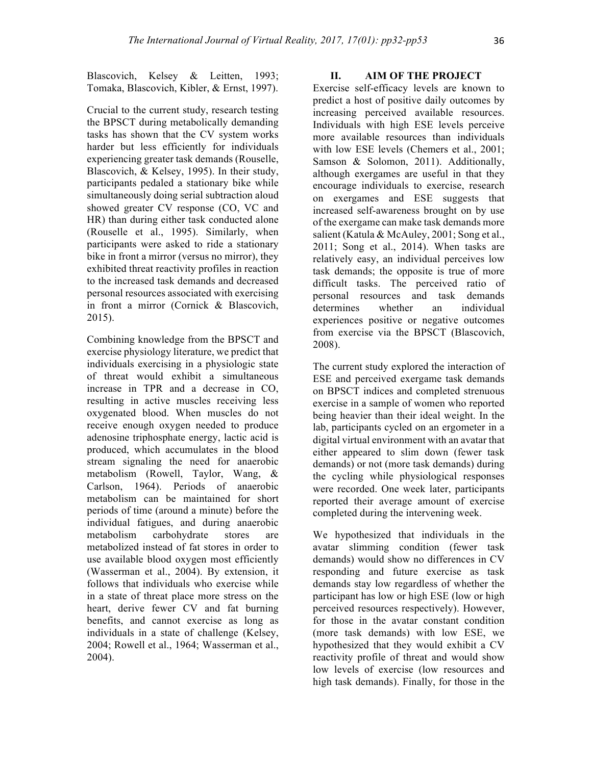Blascovich, Kelsey & Leitten, 1993; Tomaka, Blascovich, Kibler, & Ernst, 1997).

Crucial to the current study, research testing the BPSCT during metabolically demanding tasks has shown that the CV system works harder but less efficiently for individuals experiencing greater task demands (Rouselle, Blascovich, & Kelsey, 1995). In their study, participants pedaled a stationary bike while simultaneously doing serial subtraction aloud showed greater CV response (CO, VC and HR) than during either task conducted alone (Rouselle et al., 1995). Similarly, when participants were asked to ride a stationary bike in front a mirror (versus no mirror), they exhibited threat reactivity profiles in reaction to the increased task demands and decreased personal resources associated with exercising in front a mirror (Cornick & Blascovich, 2015).

Combining knowledge from the BPSCT and exercise physiology literature, we predict that individuals exercising in a physiologic state of threat would exhibit a simultaneous increase in TPR and a decrease in CO, resulting in active muscles receiving less oxygenated blood. When muscles do not receive enough oxygen needed to produce adenosine triphosphate energy, lactic acid is produced, which accumulates in the blood stream signaling the need for anaerobic metabolism (Rowell, Taylor, Wang, & Carlson, 1964). Periods of anaerobic metabolism can be maintained for short periods of time (around a minute) before the individual fatigues, and during anaerobic metabolism carbohydrate stores are metabolized instead of fat stores in order to use available blood oxygen most efficiently (Wasserman et al., 2004). By extension, it follows that individuals who exercise while in a state of threat place more stress on the heart, derive fewer CV and fat burning benefits, and cannot exercise as long as individuals in a state of challenge (Kelsey, 2004; Rowell et al., 1964; Wasserman et al., 2004).

# **II. AIM OF THE PROJECT**

Exercise self-efficacy levels are known to predict a host of positive daily outcomes by increasing perceived available resources. Individuals with high ESE levels perceive more available resources than individuals with low ESE levels (Chemers et al., 2001; Samson & Solomon, 2011). Additionally, although exergames are useful in that they encourage individuals to exercise, research on exergames and ESE suggests that increased self-awareness brought on by use of the exergame can make task demands more salient (Katula & McAuley, 2001; Song et al., 2011; Song et al., 2014). When tasks are relatively easy, an individual perceives low task demands; the opposite is true of more difficult tasks. The perceived ratio of personal resources and task demands determines whether an individual experiences positive or negative outcomes from exercise via the BPSCT (Blascovich, 2008).

The current study explored the interaction of ESE and perceived exergame task demands on BPSCT indices and completed strenuous exercise in a sample of women who reported being heavier than their ideal weight. In the lab, participants cycled on an ergometer in a digital virtual environment with an avatar that either appeared to slim down (fewer task demands) or not (more task demands) during the cycling while physiological responses were recorded. One week later, participants reported their average amount of exercise completed during the intervening week.

We hypothesized that individuals in the avatar slimming condition (fewer task demands) would show no differences in CV responding and future exercise as task demands stay low regardless of whether the participant has low or high ESE (low or high perceived resources respectively). However, for those in the avatar constant condition (more task demands) with low ESE, we hypothesized that they would exhibit a CV reactivity profile of threat and would show low levels of exercise (low resources and high task demands). Finally, for those in the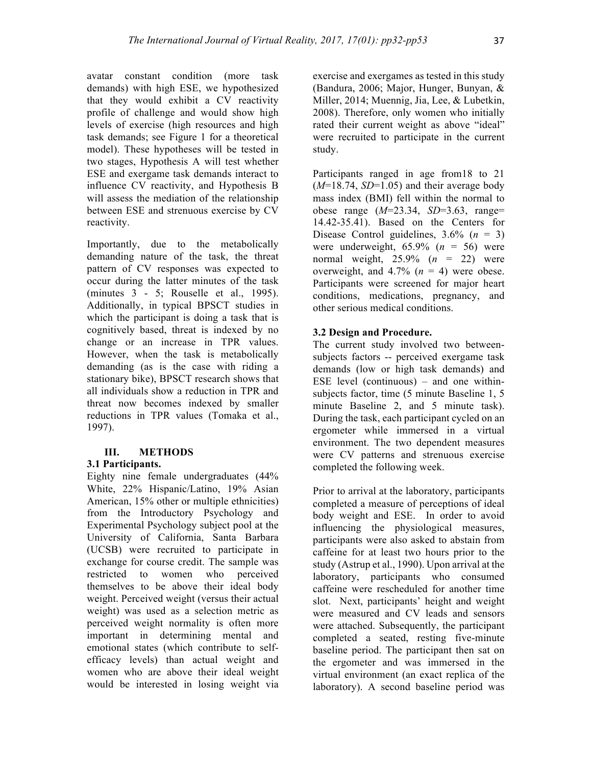avatar constant condition (more task demands) with high ESE, we hypothesized that they would exhibit a CV reactivity profile of challenge and would show high levels of exercise (high resources and high task demands; see Figure 1 for a theoretical model). These hypotheses will be tested in two stages, Hypothesis A will test whether ESE and exergame task demands interact to influence CV reactivity, and Hypothesis B will assess the mediation of the relationship between ESE and strenuous exercise by CV reactivity.

Importantly, due to the metabolically demanding nature of the task, the threat pattern of CV responses was expected to occur during the latter minutes of the task (minutes 3 - 5; Rouselle et al., 1995). Additionally, in typical BPSCT studies in which the participant is doing a task that is cognitively based, threat is indexed by no change or an increase in TPR values. However, when the task is metabolically demanding (as is the case with riding a stationary bike), BPSCT research shows that all individuals show a reduction in TPR and threat now becomes indexed by smaller reductions in TPR values (Tomaka et al., 1997).

### **III. METHODS**

### **3.1 Participants.**

Eighty nine female undergraduates (44% White, 22% Hispanic/Latino, 19% Asian American, 15% other or multiple ethnicities) from the Introductory Psychology and Experimental Psychology subject pool at the University of California, Santa Barbara (UCSB) were recruited to participate in exchange for course credit. The sample was restricted to women who perceived themselves to be above their ideal body weight. Perceived weight (versus their actual weight) was used as a selection metric as perceived weight normality is often more important in determining mental and emotional states (which contribute to selfefficacy levels) than actual weight and women who are above their ideal weight would be interested in losing weight via

exercise and exergames as tested in this study (Bandura, 2006; Major, Hunger, Bunyan, & Miller, 2014; Muennig, Jia, Lee, & Lubetkin, 2008). Therefore, only women who initially rated their current weight as above "ideal" were recruited to participate in the current study.

Participants ranged in age from18 to 21 (*M*=18.74, *SD*=1.05) and their average body mass index (BMI) fell within the normal to obese range (*M*=23.34, *SD*=3.63, range= 14.42-35.41). Based on the Centers for Disease Control guidelines, 3.6% (*n* = 3) were underweight,  $65.9\%$  ( $n = 56$ ) were normal weight, 25.9% (*n* = 22) were overweight, and  $4.7\%$  ( $n = 4$ ) were obese. Participants were screened for major heart conditions, medications, pregnancy, and other serious medical conditions.

# **3.2 Design and Procedure.**

The current study involved two betweensubjects factors -- perceived exergame task demands (low or high task demands) and ESE level (continuous) – and one withinsubjects factor, time (5 minute Baseline 1, 5 minute Baseline 2, and 5 minute task). During the task, each participant cycled on an ergometer while immersed in a virtual environment. The two dependent measures were CV patterns and strenuous exercise completed the following week.

Prior to arrival at the laboratory, participants completed a measure of perceptions of ideal body weight and ESE. In order to avoid influencing the physiological measures, participants were also asked to abstain from caffeine for at least two hours prior to the study (Astrup et al., 1990). Upon arrival at the laboratory, participants who consumed caffeine were rescheduled for another time slot. Next, participants' height and weight were measured and CV leads and sensors were attached. Subsequently, the participant completed a seated, resting five-minute baseline period. The participant then sat on the ergometer and was immersed in the virtual environment (an exact replica of the laboratory). A second baseline period was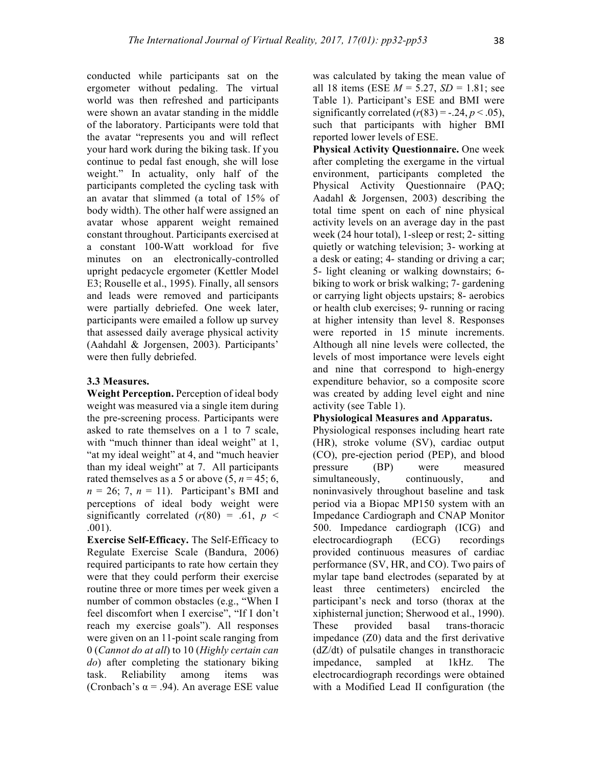conducted while participants sat on the ergometer without pedaling. The virtual world was then refreshed and participants were shown an avatar standing in the middle of the laboratory. Participants were told that the avatar "represents you and will reflect your hard work during the biking task. If you continue to pedal fast enough, she will lose weight." In actuality, only half of the participants completed the cycling task with an avatar that slimmed (a total of 15% of body width). The other half were assigned an avatar whose apparent weight remained constant throughout. Participants exercised at a constant 100-Watt workload for five minutes on an electronically-controlled upright pedacycle ergometer (Kettler Model E3; Rouselle et al., 1995). Finally, all sensors and leads were removed and participants were partially debriefed. One week later, participants were emailed a follow up survey that assessed daily average physical activity (Aahdahl & Jorgensen, 2003). Participants' were then fully debriefed.

# **3.3 Measures.**

**Weight Perception.** Perception of ideal body weight was measured via a single item during the pre-screening process. Participants were asked to rate themselves on a 1 to 7 scale, with "much thinner than ideal weight" at 1, "at my ideal weight" at 4, and "much heavier than my ideal weight" at 7. All participants rated themselves as a 5 or above  $(5, n = 45; 6,$  $n = 26$ ; 7,  $n = 11$ ). Participant's BMI and perceptions of ideal body weight were significantly correlated  $(r(80) = .61, p <$ .001).

**Exercise Self-Efficacy.** The Self-Efficacy to Regulate Exercise Scale (Bandura, 2006) required participants to rate how certain they were that they could perform their exercise routine three or more times per week given a number of common obstacles (e.g., "When I feel discomfort when I exercise", "If I don't reach my exercise goals"). All responses were given on an 11-point scale ranging from 0 (*Cannot do at all*) to 10 (*Highly certain can do*) after completing the stationary biking task. Reliability among items was (Cronbach's  $\alpha$  = .94). An average ESE value

was calculated by taking the mean value of all 18 items (ESE  $M = 5.27$ ,  $SD = 1.81$ ; see Table 1). Participant's ESE and BMI were significantly correlated  $(r(83) = -.24, p < .05)$ , such that participants with higher BMI reported lower levels of ESE.

**Physical Activity Questionnaire.** One week after completing the exergame in the virtual environment, participants completed the Physical Activity Questionnaire (PAQ; Aadahl & Jorgensen, 2003) describing the total time spent on each of nine physical activity levels on an average day in the past week (24 hour total), 1-sleep or rest; 2- sitting quietly or watching television; 3- working at a desk or eating; 4- standing or driving a car; 5- light cleaning or walking downstairs; 6 biking to work or brisk walking; 7- gardening or carrying light objects upstairs; 8- aerobics or health club exercises; 9- running or racing at higher intensity than level 8. Responses were reported in 15 minute increments. Although all nine levels were collected, the levels of most importance were levels eight and nine that correspond to high-energy expenditure behavior, so a composite score was created by adding level eight and nine activity (see Table 1).

### **Physiological Measures and Apparatus.**

Physiological responses including heart rate (HR), stroke volume (SV), cardiac output (CO), pre-ejection period (PEP), and blood pressure (BP) were measured simultaneously, continuously, and noninvasively throughout baseline and task period via a Biopac MP150 system with an Impedance Cardiograph and CNAP Monitor 500. Impedance cardiograph (ICG) and electrocardiograph (ECG) recordings provided continuous measures of cardiac performance (SV, HR, and CO). Two pairs of mylar tape band electrodes (separated by at least three centimeters) encircled the participant's neck and torso (thorax at the xiphisternal junction; Sherwood et al., 1990). These provided basal trans-thoracic impedance (Z0) data and the first derivative (dZ/dt) of pulsatile changes in transthoracic impedance, sampled at 1kHz. The electrocardiograph recordings were obtained with a Modified Lead II configuration (the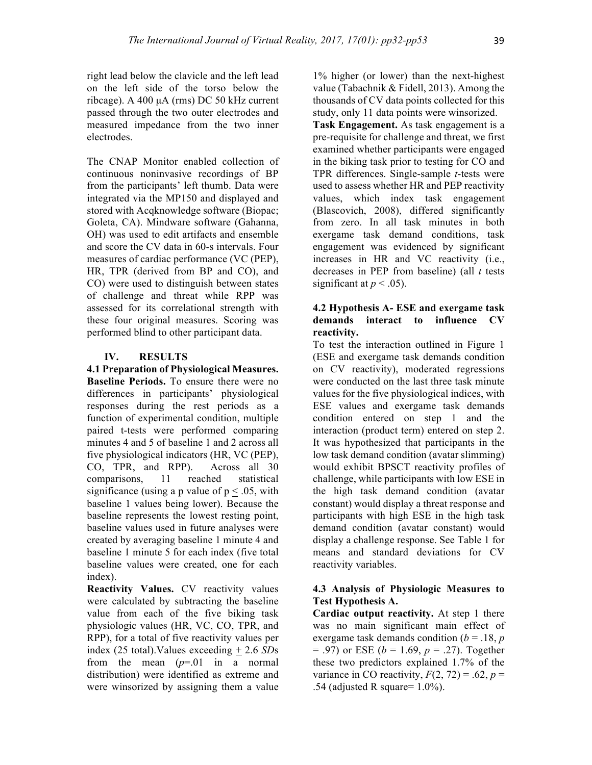right lead below the clavicle and the left lead on the left side of the torso below the ribcage). A 400 µA (rms) DC 50 kHz current passed through the two outer electrodes and measured impedance from the two inner electrodes.

The CNAP Monitor enabled collection of continuous noninvasive recordings of BP from the participants' left thumb. Data were integrated via the MP150 and displayed and stored with Acqknowledge software (Biopac; Goleta, CA). Mindware software (Gahanna, OH) was used to edit artifacts and ensemble and score the CV data in 60-s intervals. Four measures of cardiac performance (VC (PEP), HR, TPR (derived from BP and CO), and CO) were used to distinguish between states of challenge and threat while RPP was assessed for its correlational strength with these four original measures. Scoring was performed blind to other participant data.

### **IV. RESULTS**

# **4.1 Preparation of Physiological Measures. Baseline Periods.** To ensure there were no differences in participants' physiological responses during the rest periods as a function of experimental condition, multiple paired t-tests were performed comparing minutes 4 and 5 of baseline 1 and 2 across all five physiological indicators (HR, VC (PEP), CO, TPR, and RPP). Across all 30 comparisons, 11 reached statistical significance (using a p value of  $p < .05$ , with baseline 1 values being lower). Because the baseline represents the lowest resting point, baseline values used in future analyses were created by averaging baseline 1 minute 4 and baseline 1 minute 5 for each index (five total baseline values were created, one for each index).

**Reactivity Values.** CV reactivity values were calculated by subtracting the baseline value from each of the five biking task physiologic values (HR, VC, CO, TPR, and RPP), for a total of five reactivity values per index (25 total).Values exceeding + 2.6 *SD*s from the mean  $(p=01$  in a normal distribution) were identified as extreme and were winsorized by assigning them a value 1% higher (or lower) than the next-highest value (Tabachnik & Fidell, 2013). Among the thousands of CV data points collected for this study, only 11 data points were winsorized.

**Task Engagement.** As task engagement is a pre-requisite for challenge and threat, we first examined whether participants were engaged in the biking task prior to testing for CO and TPR differences. Single-sample *t*-tests were used to assess whether HR and PEP reactivity values, which index task engagement (Blascovich, 2008), differed significantly from zero. In all task minutes in both exergame task demand conditions, task engagement was evidenced by significant increases in HR and VC reactivity (i.e., decreases in PEP from baseline) (all *t* tests significant at  $p < .05$ ).

# **4.2 Hypothesis A- ESE and exergame task demands interact to influence CV reactivity.**

To test the interaction outlined in Figure 1 (ESE and exergame task demands condition on CV reactivity), moderated regressions were conducted on the last three task minute values for the five physiological indices, with ESE values and exergame task demands condition entered on step 1 and the interaction (product term) entered on step 2. It was hypothesized that participants in the low task demand condition (avatar slimming) would exhibit BPSCT reactivity profiles of challenge, while participants with low ESE in the high task demand condition (avatar constant) would display a threat response and participants with high ESE in the high task demand condition (avatar constant) would display a challenge response. See Table 1 for means and standard deviations for CV reactivity variables.

# **4.3 Analysis of Physiologic Measures to Test Hypothesis A.**

**Cardiac output reactivity.** At step 1 there was no main significant main effect of exergame task demands condition  $(b = .18, p)$ = .97) or ESE (*b* = 1.69, *p* = .27). Together these two predictors explained 1.7% of the variance in CO reactivity,  $F(2, 72) = .62$ ,  $p =$ .54 (adjusted R square=  $1.0\%$ ).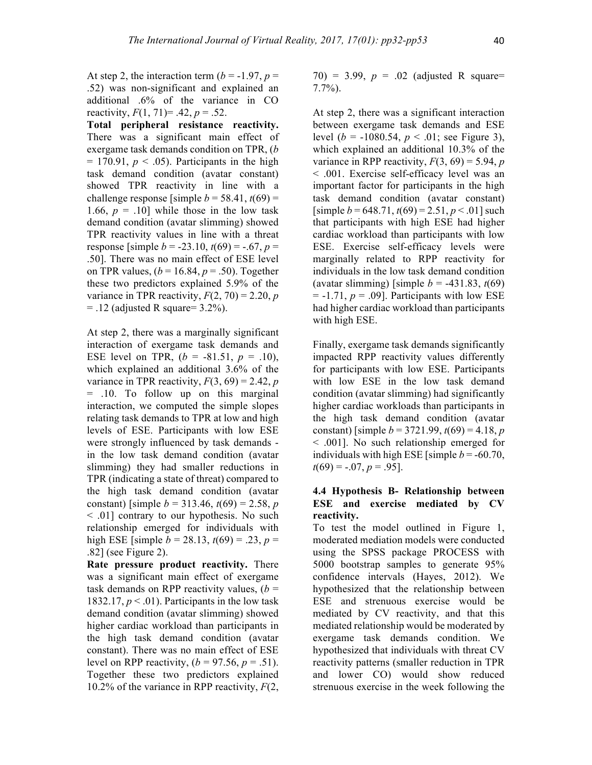At step 2, the interaction term  $(b = -1.97, p =$ .52) was non-significant and explained an additional .6% of the variance in CO reactivity,  $F(1, 71) = .42$ ,  $p = .52$ .

**Total peripheral resistance reactivity.** There was a significant main effect of exergame task demands condition on TPR, (*b*   $= 170.91$ ,  $p < .05$ ). Participants in the high task demand condition (avatar constant) showed TPR reactivity in line with a challenge response [simple  $b = 58.41$ ,  $t(69) =$ 1.66,  $p = .10$ ] while those in the low task demand condition (avatar slimming) showed TPR reactivity values in line with a threat response [simple  $b = -23.10$ ,  $t(69) = -0.67$ ,  $p =$ .50]. There was no main effect of ESE level on TPR values, (*b* = 16.84, *p* = .50). Together these two predictors explained 5.9% of the variance in TPR reactivity,  $F(2, 70) = 2.20$ , *p*  $= .12$  (adjusted R square  $= 3.2\%$ ).

At step 2, there was a marginally significant interaction of exergame task demands and ESE level on TPR,  $(b = -81.51, p = .10)$ , which explained an additional 3.6% of the variance in TPR reactivity,  $F(3, 69) = 2.42$ , *p* = .10. To follow up on this marginal interaction, we computed the simple slopes relating task demands to TPR at low and high levels of ESE. Participants with low ESE were strongly influenced by task demands in the low task demand condition (avatar slimming) they had smaller reductions in TPR (indicating a state of threat) compared to the high task demand condition (avatar constant) [simple  $b = 313.46$ ,  $t(69) = 2.58$ , *p* < .01] contrary to our hypothesis. No such relationship emerged for individuals with high ESE [simple  $b = 28.13$ ,  $t(69) = .23$ ,  $p =$ .82] (see Figure 2).

**Rate pressure product reactivity.** There was a significant main effect of exergame task demands on RPP reactivity values,  $(b =$ 1832.17,  $p < .01$ ). Participants in the low task demand condition (avatar slimming) showed higher cardiac workload than participants in the high task demand condition (avatar constant). There was no main effect of ESE level on RPP reactivity,  $(b = 97.56, p = .51)$ . Together these two predictors explained 10.2% of the variance in RPP reactivity, *F*(2, 70) = 3.99,  $p = .02$  (adjusted R square= 7.7%).

At step 2, there was a significant interaction between exergame task demands and ESE level ( $b = -1080.54$ ,  $p < .01$ ; see Figure 3), which explained an additional 10.3% of the variance in RPP reactivity,  $F(3, 69) = 5.94$ , *p* < .001. Exercise self-efficacy level was an important factor for participants in the high task demand condition (avatar constant)  $[simple b = 648.71, t(69) = 2.51, p < .01]$  such that participants with high ESE had higher cardiac workload than participants with low ESE. Exercise self-efficacy levels were marginally related to RPP reactivity for individuals in the low task demand condition (avatar slimming) [simple *b* = -431.83, *t*(69)  $= -1.71$ ,  $p = .09$ ]. Participants with low ESE had higher cardiac workload than participants with high ESE.

Finally, exergame task demands significantly impacted RPP reactivity values differently for participants with low ESE. Participants with low ESE in the low task demand condition (avatar slimming) had significantly higher cardiac workloads than participants in the high task demand condition (avatar constant) [simple  $b = 3721.99$ ,  $t(69) = 4.18$ , *p* < .001]. No such relationship emerged for individuals with high ESE [simple  $b = -60.70$ ,  $t(69) = -.07, p = .95$ .

### **4.4 Hypothesis B- Relationship between ESE and exercise mediated by CV reactivity.**

To test the model outlined in Figure 1, moderated mediation models were conducted using the SPSS package PROCESS with 5000 bootstrap samples to generate 95% confidence intervals (Hayes, 2012). We hypothesized that the relationship between ESE and strenuous exercise would be mediated by CV reactivity, and that this mediated relationship would be moderated by exergame task demands condition. We hypothesized that individuals with threat CV reactivity patterns (smaller reduction in TPR and lower CO) would show reduced strenuous exercise in the week following the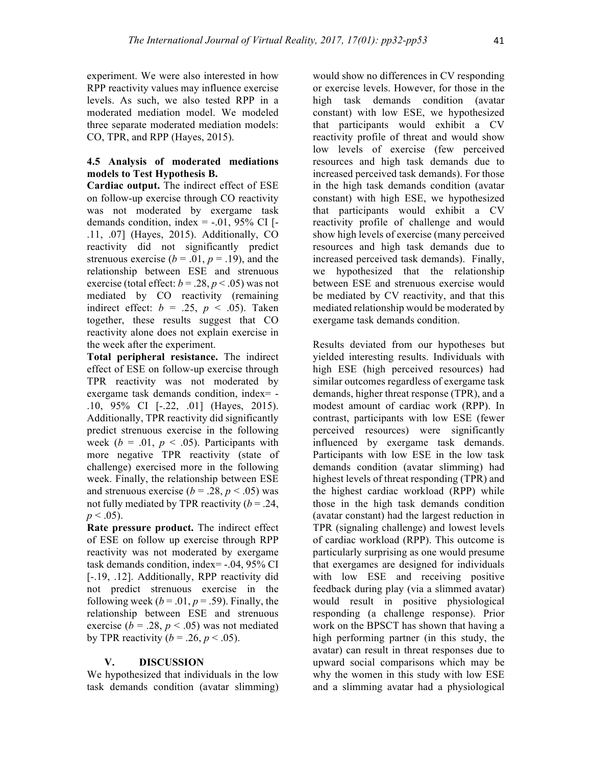experiment. We were also interested in how RPP reactivity values may influence exercise levels. As such, we also tested RPP in a moderated mediation model. We modeled three separate moderated mediation models: CO, TPR, and RPP (Hayes, 2015).

# **4.5 Analysis of moderated mediations models to Test Hypothesis B.**

**Cardiac output.** The indirect effect of ESE on follow-up exercise through CO reactivity was not moderated by exergame task demands condition, index  $= -0.01$ , 95% CI [ $-$ .11, .07] (Hayes, 2015). Additionally, CO reactivity did not significantly predict strenuous exercise ( $b = .01$ ,  $p = .19$ ), and the relationship between ESE and strenuous exercise (total effect:  $b = .28$ ,  $p < .05$ ) was not mediated by CO reactivity (remaining indirect effect:  $b = .25$ ,  $p < .05$ ). Taken together, these results suggest that CO reactivity alone does not explain exercise in the week after the experiment.

**Total peripheral resistance.** The indirect effect of ESE on follow-up exercise through TPR reactivity was not moderated by exergame task demands condition, index= - .10, 95% CI [-.22, .01] (Hayes, 2015). Additionally, TPR reactivity did significantly predict strenuous exercise in the following week ( $b = .01$ ,  $p < .05$ ). Participants with more negative TPR reactivity (state of challenge) exercised more in the following week. Finally, the relationship between ESE and strenuous exercise  $(b = .28, p < .05)$  was not fully mediated by TPR reactivity  $(b = .24, )$  $p < .05$ ).

**Rate pressure product.** The indirect effect of ESE on follow up exercise through RPP reactivity was not moderated by exergame task demands condition, index= -.04, 95% CI [-.19, .12]. Additionally, RPP reactivity did not predict strenuous exercise in the following week ( $b = .01$ ,  $p = .59$ ). Finally, the relationship between ESE and strenuous exercise ( $b = .28$ ,  $p < .05$ ) was not mediated by TPR reactivity ( $b = .26$ ,  $p < .05$ ).

### **V. DISCUSSION**

We hypothesized that individuals in the low task demands condition (avatar slimming)

would show no differences in CV responding or exercise levels. However, for those in the high task demands condition (avatar constant) with low ESE, we hypothesized that participants would exhibit a CV reactivity profile of threat and would show low levels of exercise (few perceived resources and high task demands due to increased perceived task demands). For those in the high task demands condition (avatar constant) with high ESE, we hypothesized that participants would exhibit a CV reactivity profile of challenge and would show high levels of exercise (many perceived resources and high task demands due to increased perceived task demands). Finally, we hypothesized that the relationship between ESE and strenuous exercise would be mediated by CV reactivity, and that this mediated relationship would be moderated by exergame task demands condition.

Results deviated from our hypotheses but yielded interesting results. Individuals with high ESE (high perceived resources) had similar outcomes regardless of exergame task demands, higher threat response (TPR), and a modest amount of cardiac work (RPP). In contrast, participants with low ESE (fewer perceived resources) were significantly influenced by exergame task demands. Participants with low ESE in the low task demands condition (avatar slimming) had highest levels of threat responding (TPR) and the highest cardiac workload (RPP) while those in the high task demands condition (avatar constant) had the largest reduction in TPR (signaling challenge) and lowest levels of cardiac workload (RPP). This outcome is particularly surprising as one would presume that exergames are designed for individuals with low ESE and receiving positive feedback during play (via a slimmed avatar) would result in positive physiological responding (a challenge response). Prior work on the BPSCT has shown that having a high performing partner (in this study, the avatar) can result in threat responses due to upward social comparisons which may be why the women in this study with low ESE and a slimming avatar had a physiological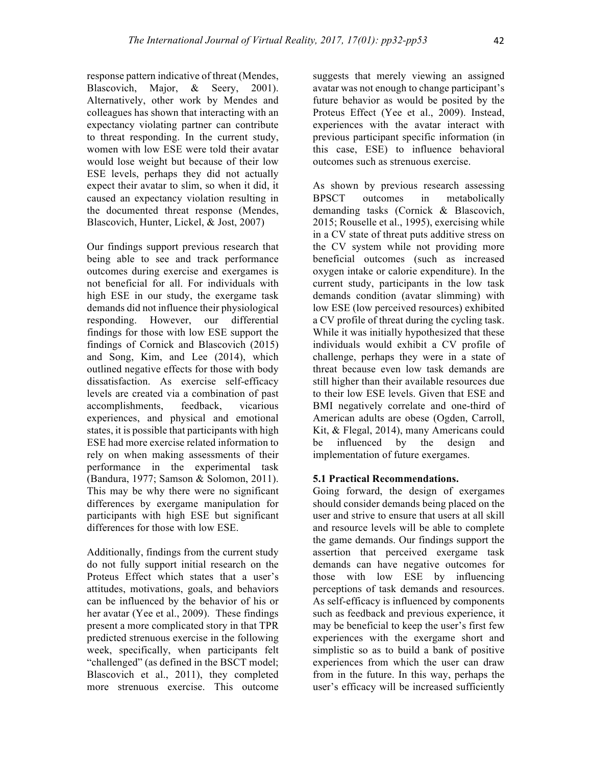response pattern indicative of threat (Mendes, Blascovich, Major, & Seery, 2001). Alternatively, other work by Mendes and colleagues has shown that interacting with an expectancy violating partner can contribute to threat responding. In the current study, women with low ESE were told their avatar would lose weight but because of their low ESE levels, perhaps they did not actually expect their avatar to slim, so when it did, it caused an expectancy violation resulting in the documented threat response (Mendes, Blascovich, Hunter, Lickel, & Jost, 2007)

Our findings support previous research that being able to see and track performance outcomes during exercise and exergames is not beneficial for all. For individuals with high ESE in our study, the exergame task demands did not influence their physiological responding. However, our differential findings for those with low ESE support the findings of Cornick and Blascovich (2015) and Song, Kim, and Lee (2014), which outlined negative effects for those with body dissatisfaction. As exercise self-efficacy levels are created via a combination of past accomplishments, feedback, vicarious experiences, and physical and emotional states, it is possible that participants with high ESE had more exercise related information to rely on when making assessments of their performance in the experimental task (Bandura, 1977; Samson & Solomon, 2011). This may be why there were no significant differences by exergame manipulation for participants with high ESE but significant differences for those with low ESE.

Additionally, findings from the current study do not fully support initial research on the Proteus Effect which states that a user's attitudes, motivations, goals, and behaviors can be influenced by the behavior of his or her avatar (Yee et al., 2009). These findings present a more complicated story in that TPR predicted strenuous exercise in the following week, specifically, when participants felt "challenged" (as defined in the BSCT model; Blascovich et al., 2011), they completed more strenuous exercise. This outcome

suggests that merely viewing an assigned avatar was not enough to change participant's future behavior as would be posited by the Proteus Effect (Yee et al., 2009). Instead, experiences with the avatar interact with previous participant specific information (in this case, ESE) to influence behavioral outcomes such as strenuous exercise.

As shown by previous research assessing BPSCT outcomes in metabolically demanding tasks (Cornick & Blascovich, 2015; Rouselle et al., 1995), exercising while in a CV state of threat puts additive stress on the CV system while not providing more beneficial outcomes (such as increased oxygen intake or calorie expenditure). In the current study, participants in the low task demands condition (avatar slimming) with low ESE (low perceived resources) exhibited a CV profile of threat during the cycling task. While it was initially hypothesized that these individuals would exhibit a CV profile of challenge, perhaps they were in a state of threat because even low task demands are still higher than their available resources due to their low ESE levels. Given that ESE and BMI negatively correlate and one-third of American adults are obese (Ogden, Carroll, Kit, & Flegal, 2014), many Americans could be influenced by the design and implementation of future exergames.

# **5.1 Practical Recommendations.**

Going forward, the design of exergames should consider demands being placed on the user and strive to ensure that users at all skill and resource levels will be able to complete the game demands. Our findings support the assertion that perceived exergame task demands can have negative outcomes for those with low ESE by influencing perceptions of task demands and resources. As self-efficacy is influenced by components such as feedback and previous experience, it may be beneficial to keep the user's first few experiences with the exergame short and simplistic so as to build a bank of positive experiences from which the user can draw from in the future. In this way, perhaps the user's efficacy will be increased sufficiently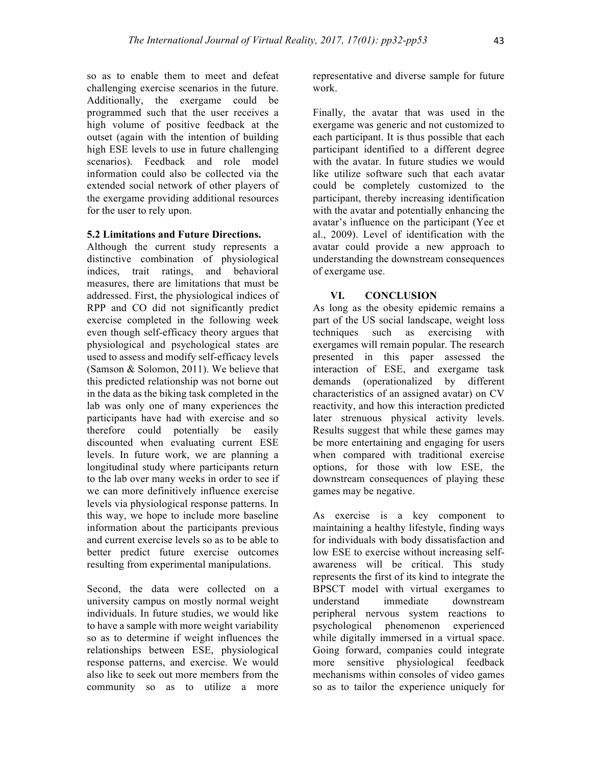so as to enable them to meet and defeat challenging exercise scenarios in the future. Additionally, the exergame could be programmed such that the user receives a high volume of positive feedback at the outset (again with the intention of building high ESE levels to use in future challenging scenarios). Feedback and role model information could also be collected via the extended social network of other players of the exergame providing additional resources for the user to rely upon.

### **5.2 Limitations and Future Directions.**

Although the current study represents a distinctive combination of physiological indices, trait ratings, and behavioral measures, there are limitations that must be addressed. First, the physiological indices of RPP and CO did not significantly predict exercise completed in the following week even though self-efficacy theory argues that physiological and psychological states are used to assess and modify self-efficacy levels (Samson  $&$  Solomon, 2011). We believe that this predicted relationship was not borne out in the data as the biking task completed in the lab was only one of many experiences the participants have had with exercise and so therefore could potentially be easily discounted when evaluating current ESE levels. In future work, we are planning a longitudinal study where participants return to the lab over many weeks in order to see if we can more definitively influence exercise levels via physiological response patterns. In this way, we hope to include more baseline information about the participants previous and current exercise levels so as to be able to better predict future exercise outcomes resulting from experimental manipulations.

Second, the data were collected on a university campus on mostly normal weight individuals. In future studies, we would like to have a sample with more weight variability so as to determine if weight influences the relationships between ESE, physiological response patterns, and exercise. We would also like to seek out more members from the community so as to utilize a more

representative and diverse sample for future work.

Finally, the avatar that was used in the exergame was generic and not customized to each participant. It is thus possible that each participant identified to a different degree with the avatar. In future studies we would like utilize software such that each avatar could be completely customized to the participant, thereby increasing identification with the avatar and potentially enhancing the avatar's influence on the participant (Yee et al., 2009). Level of identification with the avatar could provide a new approach to understanding the downstream consequences of exergame use.

# **VI. CONCLUSION**

As long as the obesity epidemic remains a part of the US social landscape, weight loss techniques such as exercising with exergames will remain popular. The research presented in this paper assessed the interaction of ESE, and exergame task demands (operationalized by different characteristics of an assigned avatar) on CV reactivity, and how this interaction predicted later strenuous physical activity levels. Results suggest that while these games may be more entertaining and engaging for users when compared with traditional exercise options, for those with low ESE, the downstream consequences of playing these games may be negative.

As exercise is a key component to maintaining a healthy lifestyle, finding ways for individuals with body dissatisfaction and low ESE to exercise without increasing selfawareness will be critical. This study represents the first of its kind to integrate the BPSCT model with virtual exergames to understand immediate downstream peripheral nervous system reactions to psychological phenomenon experienced while digitally immersed in a virtual space. Going forward, companies could integrate more sensitive physiological feedback mechanisms within consoles of video games so as to tailor the experience uniquely for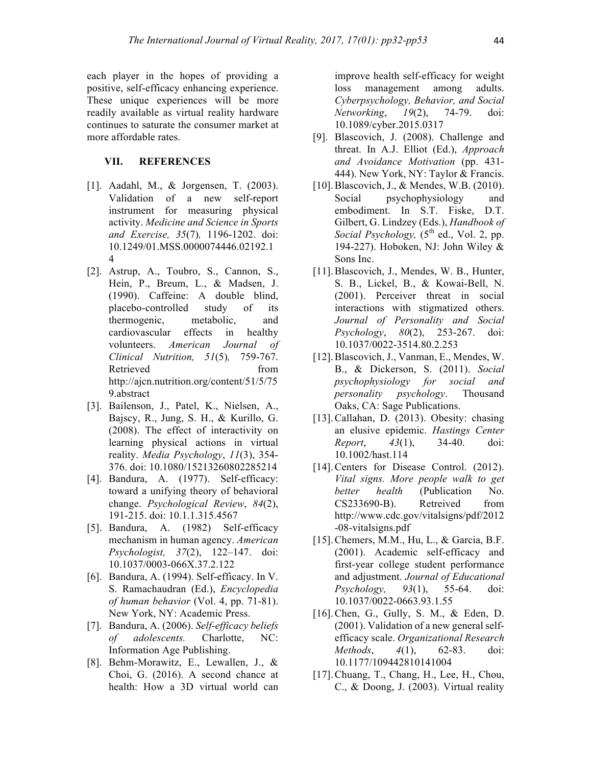each player in the hopes of providing a positive, self-efficacy enhancing experience. These unique experiences will be more readily available as virtual reality hardware continues to saturate the consumer market at more affordable rates.

#### **VII. REFERENCES**

- [1]. Aadahl, M., & Jorgensen, T. (2003). Validation of a new self-report instrument for measuring physical activity. *Medicine and Science in Sports and Exercise, 35*(7)*,* 1196-1202. doi: 10.1249/01.MSS.0000074446.02192.1 4
- [2]. Astrup, A., Toubro, S., Cannon, S., Hein, P., Breum, L., & Madsen, J. (1990). Caffeine: A double blind, placebo-controlled study of its thermogenic, metabolic, and cardiovascular effects in healthy volunteers. *American Journal of Clinical Nutrition, 51*(5)*,* 759-767. Retrieved from http://ajcn.nutrition.org/content/51/5/75 9.abstract
- [3]. Bailenson, J., Patel, K., Nielsen, A., Bajscy, R., Jung, S. H., & Kurillo, G. (2008). The effect of interactivity on learning physical actions in virtual reality. *Media Psychology*, *11*(3), 354- 376. doi: 10.1080/15213260802285214
- [4]. Bandura, A. (1977). Self-efficacy: toward a unifying theory of behavioral change. *Psychological Review*, *84*(2), 191-215. doi: 10.1.1.315.4567
- [5]. Bandura, A. (1982) Self-efficacy mechanism in human agency. *American Psychologist, 37*(2), 122–147. doi: 10.1037/0003-066X.37.2.122
- [6]. Bandura, A. (1994). Self-efficacy. In V. S. Ramachaudran (Ed.), *Encyclopedia of human behavior* (Vol. 4, pp. 71-81). New York, NY: Academic Press.
- [7]. Bandura, A. (2006). *Self-efficacy beliefs of adolescents.* Charlotte, NC: Information Age Publishing.
- [8]. Behm-Morawitz, E., Lewallen, J., & Choi, G. (2016). A second chance at health: How a 3D virtual world can

improve health self-efficacy for weight loss management among adults. *Cyberpsychology, Behavior, and Social Networking*, *19*(2), 74-79. doi: 10.1089/cyber.2015.0317

- [9]. Blascovich, J. (2008). Challenge and threat. In A.J. Elliot (Ed.), *Approach and Avoidance Motivation* (pp. 431- 444). New York, NY: Taylor & Francis.
- [10]. Blascovich, J., & Mendes, W.B. (2010). Social psychophysiology and embodiment. In S.T. Fiske, D.T. Gilbert, G. Lindzey (Eds.), *Handbook of Social Psychology*,  $(5<sup>th</sup>$  ed., Vol. 2, pp. 194-227). Hoboken, NJ: John Wiley & Sons Inc.
- [11].Blascovich, J., Mendes, W. B., Hunter, S. B., Lickel, B., & Kowai-Bell, N. (2001). Perceiver threat in social interactions with stigmatized others. *Journal of Personality and Social Psychology*, *80*(2), 253-267. doi: 10.1037/0022-3514.80.2.253
- [12].Blascovich, J., Vanman, E., Mendes, W. B., & Dickerson, S. (2011). *Social psychophysiology for social and personality psychology*. Thousand Oaks, CA: Sage Publications.
- [13].Callahan, D. (2013). Obesity: chasing an elusive epidemic. *Hastings Center Report*, *43*(1), 34-40. doi: 10.1002/hast.114
- [14]. Centers for Disease Control. (2012). *Vital signs. More people walk to get better health* (Publication No. CS233690-B). Retreived from http://www.cdc.gov/vitalsigns/pdf/2012 -08-vitalsigns.pdf
- [15].Chemers, M.M., Hu, L., & Garcia, B.F. (2001). Academic self-efficacy and first-year college student performance and adjustment. *Journal of Educational Psychology, 93*(1), 55-64. doi: 10.1037/0022-0663.93.1.55
- [16].Chen, G., Gully, S. M., & Eden, D. (2001). Validation of a new general selfefficacy scale. *Organizational Research Methods*, *4*(1), 62-83. doi: 10.1177/109442810141004
- [17].Chuang, T., Chang, H., Lee, H., Chou, C., & Doong, J. (2003). Virtual reality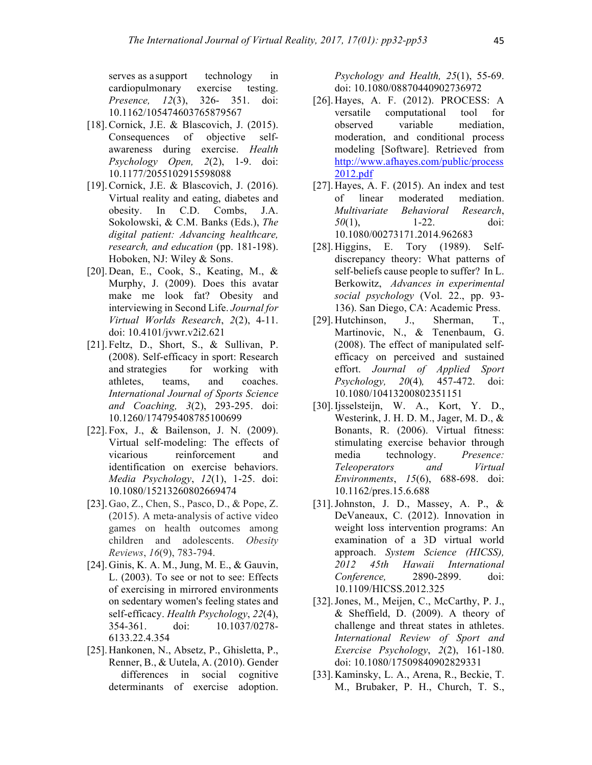serves as a support technology in cardiopulmonary exercise testing. *Presence, 12*(3), 326- 351. doi: 10.1162/105474603765879567

- [18].Cornick, J.E. & Blascovich, J. (2015). Consequences of objective selfawareness during exercise. *Health Psychology Open, 2*(2), 1-9. doi: 10.1177/2055102915598088
- [19].Cornick, J.E. & Blascovich, J. (2016). Virtual reality and eating, diabetes and obesity. In C.D. Combs, J.A. Sokolowski, & C.M. Banks (Eds.), *The digital patient: Advancing healthcare, research, and education* (pp. 181-198). Hoboken, NJ: Wiley & Sons.
- [20].Dean, E., Cook, S., Keating, M., & Murphy, J. (2009). Does this avatar make me look fat? Obesity and interviewing in Second Life. *Journal for Virtual Worlds Research*, *2*(2), 4-11. doi: 10.4101/jvwr.v2i2.621
- [21]. Feltz, D., Short, S., & Sullivan, P. (2008). Self-efficacy in sport: Research and strategies for working with athletes, teams, and coaches. *International Journal of Sports Science and Coaching, 3*(2), 293-295. doi: 10.1260/174795408785100699
- [22] Fox, J., & Bailenson, J. N. (2009). Virtual self-modeling: The effects of vicarious reinforcement and identification on exercise behaviors. *Media Psychology*, *12*(1), 1-25. doi: 10.1080/15213260802669474
- [23].Gao, Z., Chen, S., Pasco, D., & Pope, Z. (2015). A meta-analysis of active video games on health outcomes among children and adolescents. *Obesity Reviews*, *16*(9), 783-794.
- [24].Ginis, K. A. M., Jung, M. E., & Gauvin, L. (2003). To see or not to see: Effects of exercising in mirrored environments on sedentary women's feeling states and self-efficacy. *Health Psychology*, *22*(4), 354-361. doi: 10.1037/0278- 6133.22.4.354
- [25].Hankonen, N., Absetz, P., Ghisletta, P., Renner, B., & Uutela, A. (2010). Gender differences in social cognitive determinants of exercise adoption.

*Psychology and Health, 25*(1), 55-69. doi: 10.1080/08870440902736972

- [26].Hayes, A. F. (2012). PROCESS: A versatile computational tool for observed variable mediation, moderation, and conditional process modeling [Software]. Retrieved from http://www.afhayes.com/public/process 2012.pdf
- [27].Hayes, A. F. (2015). An index and test of linear moderated mediation. *Multivariate Behavioral Research*, *50*(1), 1-22. doi: 10.1080/00273171.2014.962683
- [28].Higgins, E. Tory (1989). Selfdiscrepancy theory: What patterns of self-beliefs cause people to suffer? In L. Berkowitz, *Advances in experimental social psychology* (Vol. 22., pp. 93- 136). San Diego, CA: Academic Press.
- [29].Hutchinson, J., Sherman, T., Martinovic, N., & Tenenbaum, G. (2008). The effect of manipulated selfefficacy on perceived and sustained effort. *Journal of Applied Sport Psychology, 20*(4)*,* 457-472. doi: 10.1080/10413200802351151
- [30].Ijsselsteijn, W. A., Kort, Y. D., Westerink, J. H. D. M., Jager, M. D., & Bonants, R. (2006). Virtual fitness: stimulating exercise behavior through media technology. *Presence: Teleoperators and Virtual Environments*, *15*(6), 688-698. doi: 10.1162/pres.15.6.688
- [31].Johnston, J. D., Massey, A. P., & DeVaneaux, C. (2012). Innovation in weight loss intervention programs: An examination of a 3D virtual world approach. *System Science (HICSS), 2012 45th Hawaii International Conference,* 2890-2899. doi: 10.1109/HICSS.2012.325
- [32].Jones, M., Meijen, C., McCarthy, P. J.,  $& Sheffield, D. (2009). A theory of$ challenge and threat states in athletes. *International Review of Sport and Exercise Psychology*, *2*(2), 161-180. doi: 10.1080/17509840902829331
- [33].Kaminsky, L. A., Arena, R., Beckie, T. M., Brubaker, P. H., Church, T. S.,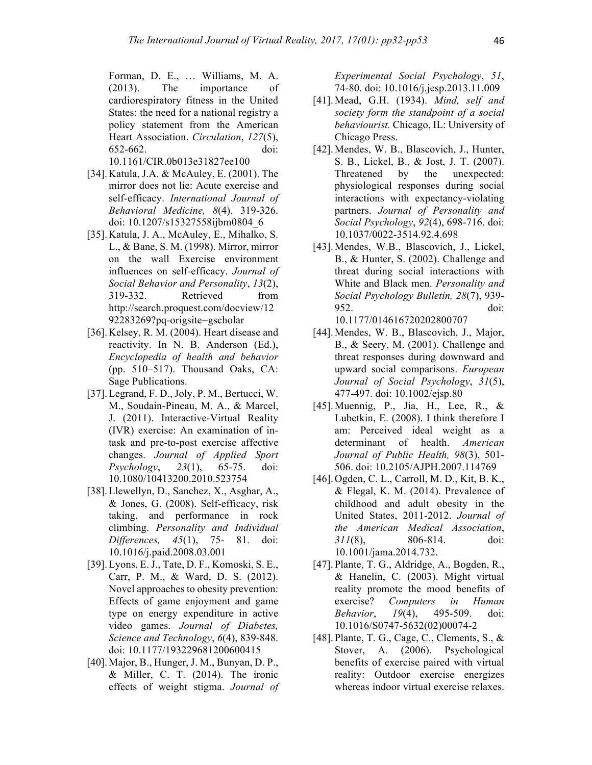Forman, D. E., … Williams, M. A. (2013). The importance of cardiorespiratory fitness in the United States: the need for a national registry a policy statement from the American Heart Association. *Circulation*, *127*(5), 652-662. doi: 10.1161/CIR.0b013e31827ee100

- [34].Katula, J.A. & McAuley, E. (2001). The mirror does not lie: Acute exercise and self-efficacy. *International Journal of Behavioral Medicine, 8*(4), 319-326. doi: 10.1207/s15327558ijbm0804\_6
- [35].Katula, J. A., McAuley, E., Mihalko, S. L., & Bane, S. M. (1998). Mirror, mirror on the wall Exercise environment influences on self-efficacy. *Journal of Social Behavior and Personality*, *13*(2), 319-332. Retrieved from http://search.proquest.com/docview/12 92283269?pq-origsite=gscholar
- [36].Kelsey, R. M. (2004). Heart disease and reactivity. In N. B. Anderson (Ed.), *Encyclopedia of health and behavior* (pp. 510–517). Thousand Oaks, CA: Sage Publications.
- [37].Legrand, F. D., Joly, P. M., Bertucci, W. M., Soudain-Pineau, M. A., & Marcel, J. (2011). Interactive-Virtual Reality (IVR) exercise: An examination of intask and pre-to-post exercise affective changes. *Journal of Applied Sport Psychology*, *23*(1), 65-75. doi: 10.1080/10413200.2010.523754
- [38].Llewellyn, D., Sanchez, X., Asghar, A., & Jones, G. (2008). Self-efficacy, risk taking, and performance in rock climbing. *Personality and Individual Differences, 45*(1), 75- 81. doi: 10.1016/j.paid.2008.03.001
- [39].Lyons, E. J., Tate, D. F., Komoski, S. E., Carr, P. M., & Ward, D. S. (2012). Novel approaches to obesity prevention: Effects of game enjoyment and game type on energy expenditure in active video games. *Journal of Diabetes, Science and Technology*, *6*(4), 839-848. doi: 10.1177/193229681200600415
- [40].Major, B., Hunger, J. M., Bunyan, D. P., & Miller, C. T. (2014). The ironic effects of weight stigma. *Journal of*

*Experimental Social Psychology*, *51*, 74-80. doi: 10.1016/j.jesp.2013.11.009

- [41].Mead, G.H. (1934). *Mind, self and society form the standpoint of a social behaviourist.* Chicago, IL: University of Chicago Press.
- [42].Mendes, W. B., Blascovich, J., Hunter, S. B., Lickel, B., & Jost, J. T. (2007). Threatened by the unexpected: physiological responses during social interactions with expectancy-violating partners. *Journal of Personality and Social Psychology*, *92*(4), 698-716. doi: 10.1037/0022-3514.92.4.698
- [43].Mendes, W.B., Blascovich, J., Lickel, B., & Hunter, S. (2002). Challenge and threat during social interactions with White and Black men. *Personality and Social Psychology Bulletin, 28*(7), 939- 952. doi: 10.1177/014616720202800707
- [44].Mendes, W. B., Blascovich, J., Major, B., & Seery, M. (2001). Challenge and threat responses during downward and upward social comparisons. *European Journal of Social Psychology*, *31*(5), 477-497. doi: 10.1002/ejsp.80
- [45].Muennig, P., Jia, H., Lee, R., & Lubetkin, E. (2008). I think therefore I am: Perceived ideal weight as a determinant of health. *American Journal of Public Health, 98*(3), 501- 506. doi: 10.2105/AJPH.2007.114769
- [46].Ogden, C. L., Carroll, M. D., Kit, B. K.,  $&$  Flegal, K. M. (2014). Prevalence of childhood and adult obesity in the United States, 2011-2012. *Journal of the American Medical Association*, *311*(8), 806-814. doi: 10.1001/jama.2014.732.
- [47].Plante, T. G., Aldridge, A., Bogden, R., & Hanelin, C. (2003). Might virtual reality promote the mood benefits of exercise? *Computers in Human Behavior*, *19*(4), 495-509. doi: 10.1016/S0747-5632(02)00074-2
- [48].Plante, T. G., Cage, C., Clements, S., & Stover, A. (2006). Psychological benefits of exercise paired with virtual reality: Outdoor exercise energizes whereas indoor virtual exercise relaxes.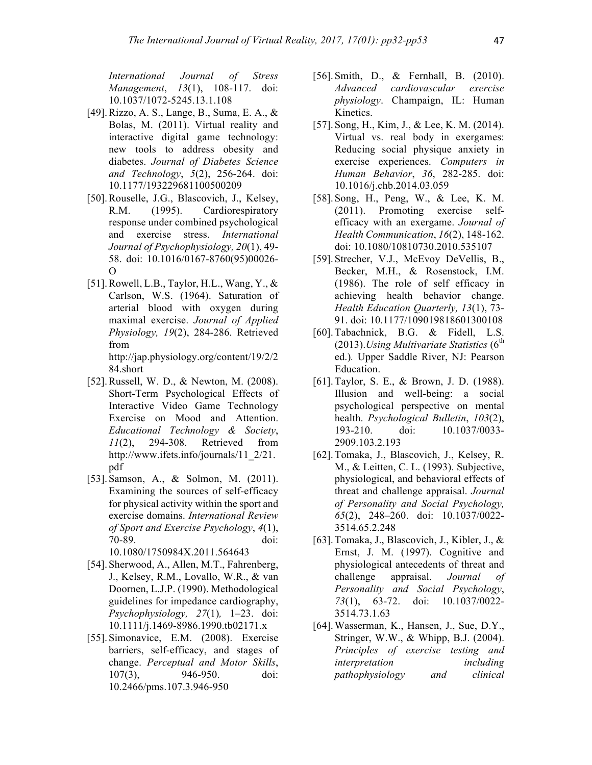*International Journal of Stress Management*, *13*(1), 108-117. doi: 10.1037/1072-5245.13.1.108

- [49].Rizzo, A. S., Lange, B., Suma, E. A., & Bolas, M. (2011). Virtual reality and interactive digital game technology: new tools to address obesity and diabetes. *Journal of Diabetes Science and Technology*, *5*(2), 256-264. doi: 10.1177/193229681100500209
- [50].Rouselle, J.G., Blascovich, J., Kelsey, R.M. (1995). Cardiorespiratory response under combined psychological and exercise stress. *International Journal of Psychophysiology, 20*(1), 49- 58. doi: 10.1016/0167-8760(95)00026- O
- [51].Rowell, L.B., Taylor, H.L., Wang, Y., & Carlson, W.S. (1964). Saturation of arterial blood with oxygen during maximal exercise. *Journal of Applied Physiology, 19*(2), 284-286. Retrieved from http://jap.physiology.org/content/19/2/2 84.short
- [52].Russell, W. D., & Newton, M. (2008). Short-Term Psychological Effects of Interactive Video Game Technology Exercise on Mood and Attention. *Educational Technology & Society*, *11*(2), 294-308. Retrieved from http://www.ifets.info/journals/11\_2/21. pdf
- [53] Samson, A., & Solmon, M. (2011). Examining the sources of self-efficacy for physical activity within the sport and exercise domains. *International Review of Sport and Exercise Psychology*, *4*(1), 70-89. doi: 10.1080/1750984X.2011.564643
- [54].Sherwood, A., Allen, M.T., Fahrenberg, J., Kelsey, R.M., Lovallo, W.R., & van Doornen, L.J.P. (1990). Methodological guidelines for impedance cardiography, *Psychophysiology, 27*(1)*,* 1–23. doi: 10.1111/j.1469-8986.1990.tb02171.x
- [55].Simonavice, E.M. (2008). Exercise barriers, self-efficacy, and stages of change. *Perceptual and Motor Skills*, 107(3), 946-950. doi: 10.2466/pms.107.3.946-950
- [56]. Smith, D., & Fernhall, B. (2010). *Advanced cardiovascular exercise physiology*. Champaign, IL: Human Kinetics.
- [57].Song, H., Kim, J., & Lee, K. M. (2014). Virtual vs. real body in exergames: Reducing social physique anxiety in exercise experiences. *Computers in Human Behavior*, *36*, 282-285. doi: 10.1016/j.chb.2014.03.059
- [58].Song, H., Peng, W., & Lee, K. M. (2011). Promoting exercise selfefficacy with an exergame. *Journal of Health Communication*, *16*(2), 148-162. doi: 10.1080/10810730.2010.535107
- [59].Strecher, V.J., McEvoy DeVellis, B., Becker, M.H., & Rosenstock, I.M. (1986). The role of self efficacy in achieving health behavior change. *Health Education Quarterly, 13*(1), 73- 91. doi: 10.1177/109019818601300108
- [60].Tabachnick, B.G. & Fidell, L.S.  $(2013)$ *.Using Multivariate Statistics*  $(6<sup>th</sup>$ ed.)*.* Upper Saddle River, NJ: Pearson Education.
- [61].Taylor, S. E., & Brown, J. D. (1988). Illusion and well-being: a social psychological perspective on mental health. *Psychological Bulletin*, *103*(2), 193-210. doi: 10.1037/0033- 2909.103.2.193
- [62].Tomaka, J., Blascovich, J., Kelsey, R. M., & Leitten, C. L. (1993). Subjective, physiological, and behavioral effects of threat and challenge appraisal. *Journal of Personality and Social Psychology, 65*(2), 248–260. doi: 10.1037/0022- 3514.65.2.248
- [63].Tomaka, J., Blascovich, J., Kibler, J., & Ernst, J. M. (1997). Cognitive and physiological antecedents of threat and challenge appraisal. *Journal of Personality and Social Psychology*, *73*(1), 63-72. doi: 10.1037/0022- 3514.73.1.63
- [64].Wasserman, K., Hansen, J., Sue, D.Y., Stringer, W.W., & Whipp, B.J. (2004). *Principles of exercise testing and interpretation including pathophysiology and clinical*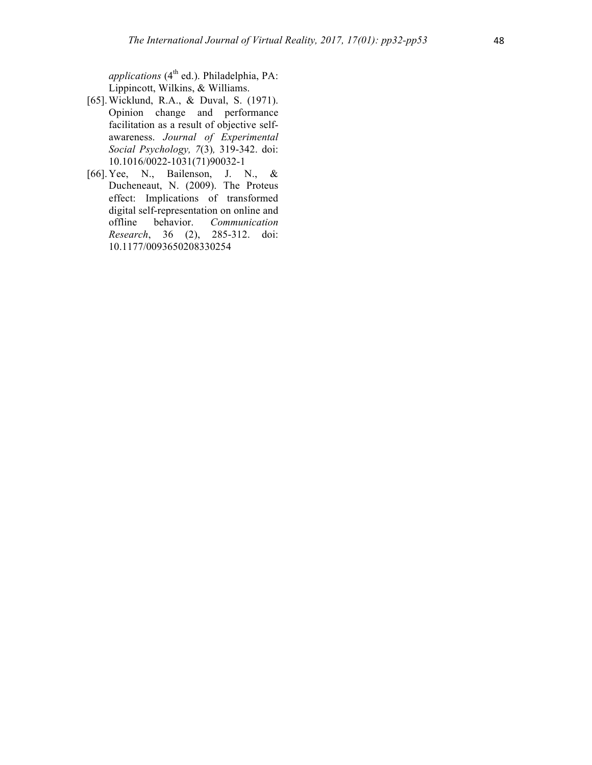*applications* (4<sup>th</sup> ed.). Philadelphia, PA: Lippincott, Wilkins, & Williams.

- [65].Wicklund, R.A., & Duval, S. (1971). Opinion change and performance facilitation as a result of objective selfawareness. *Journal of Experimental Social Psychology, 7*(3)*,* 319-342. doi: 10.1016/0022-1031(71)90032-1
- [66].Yee, N., Bailenson, J. N., & Ducheneaut, N. (2009). The Proteus effect: Implications of transformed digital self-representation on online and offline behavior. *Communication Research*, 36 (2), 285-312. doi: 10.1177/0093650208330254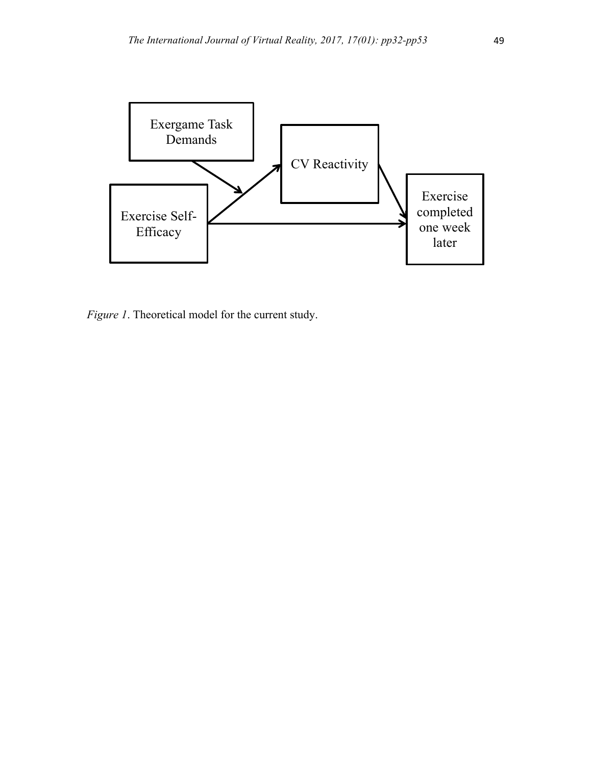

*Figure 1*. Theoretical model for the current study.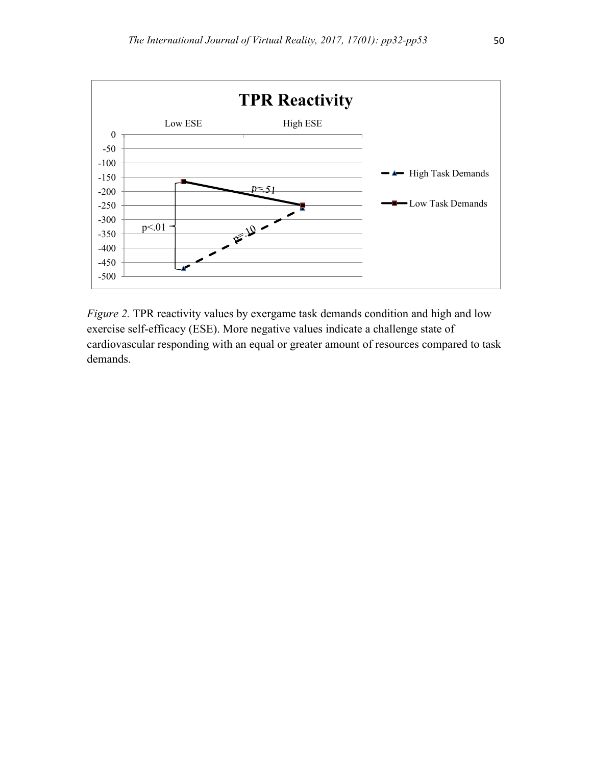

*Figure 2.* TPR reactivity values by exergame task demands condition and high and low exercise self-efficacy (ESE). More negative values indicate a challenge state of cardiovascular responding with an equal or greater amount of resources compared to task demands.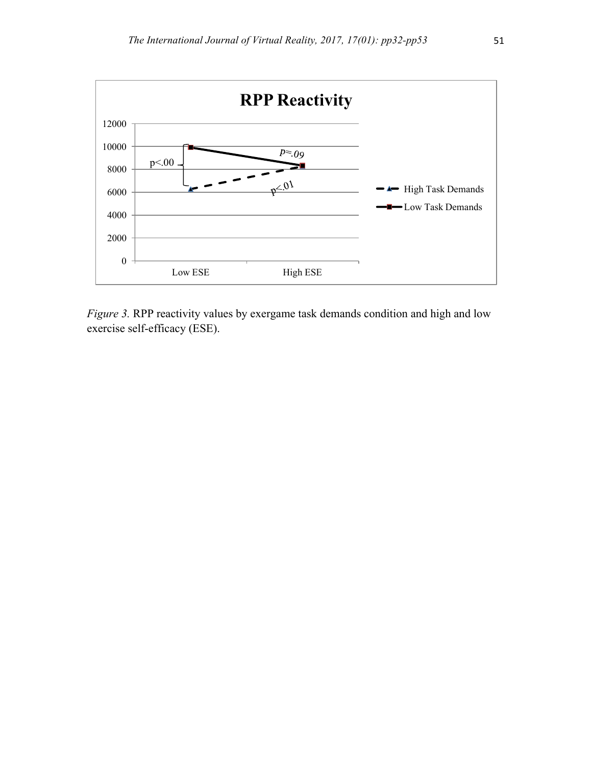

*Figure 3.* RPP reactivity values by exergame task demands condition and high and low exercise self-efficacy (ESE).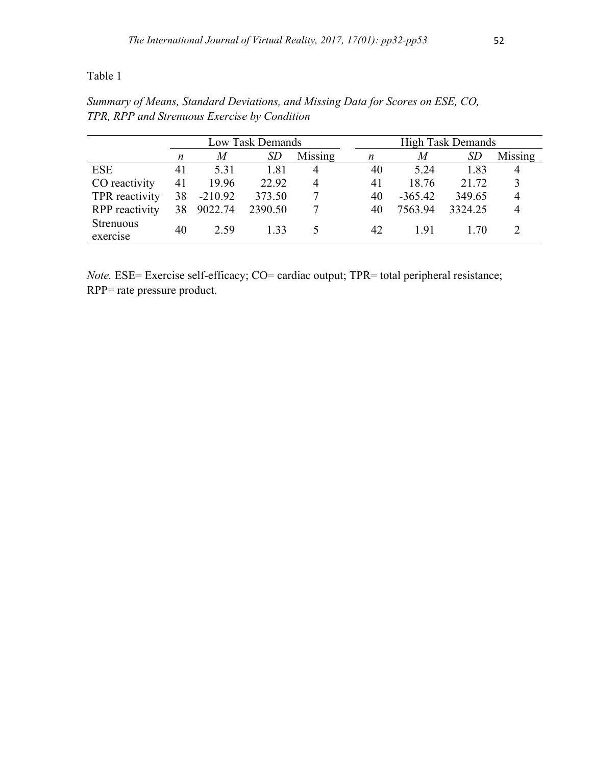Table 1

|                              | Low Task Demands |           |           |         | <b>High Task Demands</b> |           |           |         |
|------------------------------|------------------|-----------|-----------|---------|--------------------------|-----------|-----------|---------|
|                              | n                | M         | <i>SD</i> | Missing | $\boldsymbol{n}$         | M         | <i>SD</i> | Missing |
| <b>ESE</b>                   | 41               | 5.31      | 1.81      |         | 40                       | 5.24      | 1.83      |         |
| CO reactivity                | 41               | 19.96     | 22.92     | 4       | 41                       | 18.76     | 21.72     |         |
| TPR reactivity               | 38               | $-210.92$ | 373.50    |         | 40                       | $-365.42$ | 349.65    | 4       |
| <b>RPP</b> reactivity        | 38               | 9022.74   | 2390.50   |         | 40                       | 7563.94   | 3324.25   |         |
| <b>Strenuous</b><br>exercise | 40               | 2.59      | 133       |         | 42                       | 191       | 1 70      |         |

*Summary of Means, Standard Deviations, and Missing Data for Scores on ESE, CO, TPR, RPP and Strenuous Exercise by Condition*

*Note.* ESE= Exercise self-efficacy; CO= cardiac output; TPR= total peripheral resistance; RPP= rate pressure product.